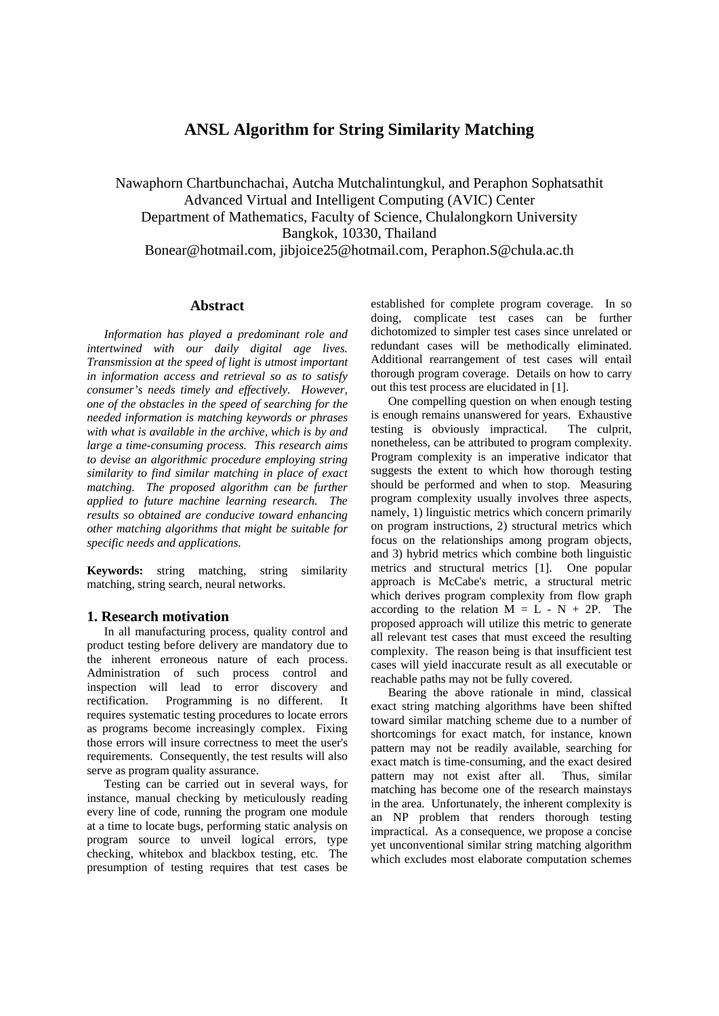# **ANSL Algorithm for String Similarity Matching**

Nawaphorn Chartbunchachai, Autcha Mutchalintungkul, and Peraphon Sophatsathit Advanced Virtual and Intelligent Computing (AVIC) Center Department of Mathematics, Faculty of Science, Chulalongkorn University Bangkok, 10330, Thailand Bonear@hotmail.com, jibjoice25@hotmail.com, Peraphon.S@chula.ac.th

### **Abstract**

*Information has played a predominant role and intertwined with our daily digital age lives. Transmission at the speed of light is utmost important in information access and retrieval so as to satisfy consumer's needs timely and effectively. However, one of the obstacles in the speed of searching for the needed information is matching keywords or phrases with what is available in the archive, which is by and large a time-consuming process. This research aims to devise an algorithmic procedure employing string similarity to find similar matching in place of exact matching. The proposed algorithm can be further applied to future machine learning research. The results so obtained are conducive toward enhancing other matching algorithms that might be suitable for specific needs and applications.* 

**Keywords:** string matching, string similarity matching, string search, neural networks.

### **1. Research motivation**

In all manufacturing process, quality control and product testing before delivery are mandatory due to the inherent erroneous nature of each process. Administration of such process control and inspection will lead to error discovery and rectification. Programming is no different. It requires systematic testing procedures to locate errors as programs become increasingly complex. Fixing those errors will insure correctness to meet the user's requirements. Consequently, the test results will also serve as program quality assurance.

Testing can be carried out in several ways, for instance, manual checking by meticulously reading every line of code, running the program one module at a time to locate bugs, performing static analysis on program source to unveil logical errors, type checking, whitebox and blackbox testing, etc. The presumption of testing requires that test cases be

established for complete program coverage. In so doing, complicate test cases can be further dichotomized to simpler test cases since unrelated or redundant cases will be methodically eliminated. Additional rearrangement of test cases will entail thorough program coverage. Details on how to carry out this test process are elucidated in [1].

One compelling question on when enough testing is enough remains unanswered for years. Exhaustive testing is obviously impractical. The culprit, nonetheless, can be attributed to program complexity. Program complexity is an imperative indicator that suggests the extent to which how thorough testing should be performed and when to stop. Measuring program complexity usually involves three aspects, namely, 1) linguistic metrics which concern primarily on program instructions, 2) structural metrics which focus on the relationships among program objects, and 3) hybrid metrics which combine both linguistic metrics and structural metrics [1]. One popular approach is McCabe's metric, a structural metric which derives program complexity from flow graph according to the relation  $M = L - N + 2P$ . The proposed approach will utilize this metric to generate all relevant test cases that must exceed the resulting complexity. The reason being is that insufficient test cases will yield inaccurate result as all executable or reachable paths may not be fully covered.

Bearing the above rationale in mind, classical exact string matching algorithms have been shifted toward similar matching scheme due to a number of shortcomings for exact match, for instance, known pattern may not be readily available, searching for exact match is time-consuming, and the exact desired pattern may not exist after all. Thus, similar matching has become one of the research mainstays in the area. Unfortunately, the inherent complexity is an NP problem that renders thorough testing impractical. As a consequence, we propose a concise yet unconventional similar string matching algorithm which excludes most elaborate computation schemes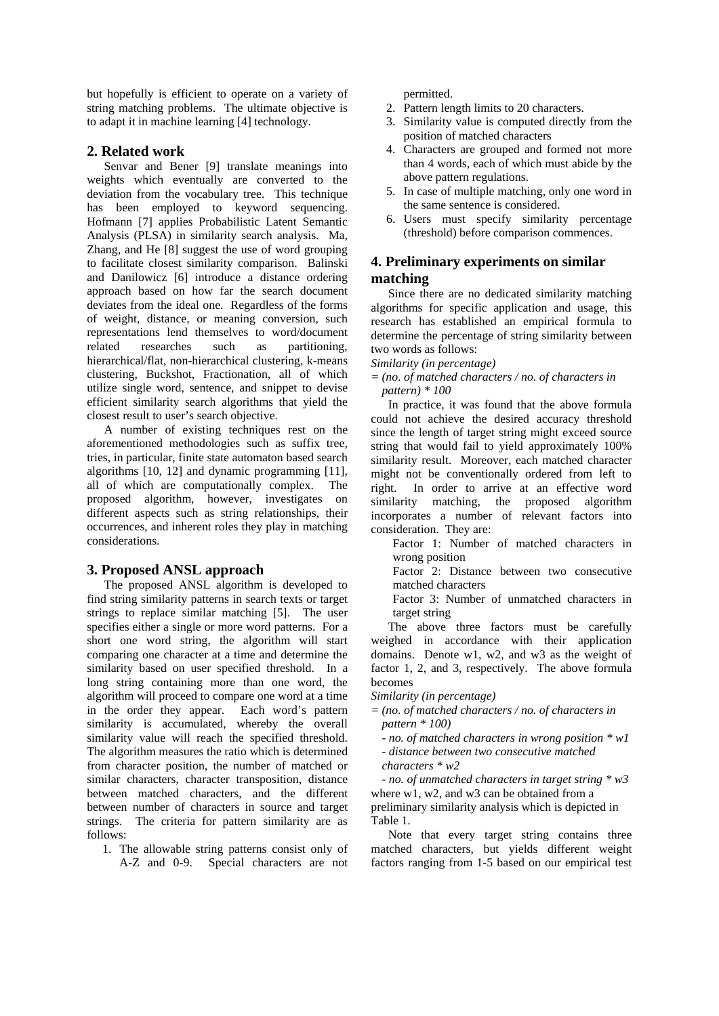but hopefully is efficient to operate on a variety of string matching problems. The ultimate objective is to adapt it in machine learning [4] technology.

### **2. Related work**

Senvar and Bener [9] translate meanings into weights which eventually are converted to the deviation from the vocabulary tree. This technique has been employed to keyword sequencing. Hofmann [7] applies Probabilistic Latent Semantic Analysis (PLSA) in similarity search analysis. Ma, Zhang, and He [8] suggest the use of word grouping to facilitate closest similarity comparison. Balinski and Danilowicz [6] introduce a distance ordering approach based on how far the search document deviates from the ideal one. Regardless of the forms of weight, distance, or meaning conversion, such representations lend themselves to word/document related researches such as partitioning, hierarchical/flat, non-hierarchical clustering, k-means clustering, Buckshot, Fractionation, all of which utilize single word, sentence, and snippet to devise efficient similarity search algorithms that yield the closest result to user's search objective.

A number of existing techniques rest on the aforementioned methodologies such as suffix tree, tries, in particular, finite state automaton based search algorithms [10, 12] and dynamic programming [11], all of which are computationally complex. The proposed algorithm, however, investigates on different aspects such as string relationships, their occurrences, and inherent roles they play in matching considerations.

## **3. Proposed ANSL approach**

The proposed ANSL algorithm is developed to find string similarity patterns in search texts or target strings to replace similar matching [5]. The user specifies either a single or more word patterns. For a short one word string, the algorithm will start comparing one character at a time and determine the similarity based on user specified threshold. In a long string containing more than one word, the algorithm will proceed to compare one word at a time in the order they appear. Each word's pattern similarity is accumulated, whereby the overall similarity value will reach the specified threshold. The algorithm measures the ratio which is determined from character position, the number of matched or similar characters, character transposition, distance between matched characters, and the different between number of characters in source and target strings. The criteria for pattern similarity are as follows:

1. The allowable string patterns consist only of A-Z and 0-9. Special characters are not permitted.

- 2. Pattern length limits to 20 characters.
- 3. Similarity value is computed directly from the position of matched characters
- 4. Characters are grouped and formed not more than 4 words, each of which must abide by the above pattern regulations.
- 5. In case of multiple matching, only one word in the same sentence is considered.
- 6. Users must specify similarity percentage (threshold) before comparison commences.

# **4. Preliminary experiments on similar matching**

Since there are no dedicated similarity matching algorithms for specific application and usage, this research has established an empirical formula to determine the percentage of string similarity between two words as follows:

*Similarity (in percentage)* 

*= (no. of matched characters / no. of characters in pattern) \* 100* 

In practice, it was found that the above formula could not achieve the desired accuracy threshold since the length of target string might exceed source string that would fail to yield approximately 100% similarity result. Moreover, each matched character might not be conventionally ordered from left to right. In order to arrive at an effective word similarity matching, the proposed algorithm incorporates a number of relevant factors into consideration. They are:

Factor 1: Number of matched characters in wrong position

Factor 2: Distance between two consecutive matched characters

Factor 3: Number of unmatched characters in target string

The above three factors must be carefully weighed in accordance with their application domains. Denote w1, w2, and w3 as the weight of factor 1, 2, and 3, respectively. The above formula becomes

*Similarity (in percentage)* 

- *= (no. of matched characters / no. of characters in pattern \* 100)* 
	- *no. of matched characters in wrong position \* w1*

 *- distance between two consecutive matched* 

*characters \* w2* 

 *- no. of unmatched characters in target string \* w3*  where w1, w2, and w3 can be obtained from a

preliminary similarity analysis which is depicted in Table 1.

Note that every target string contains three matched characters, but yields different weight factors ranging from 1-5 based on our empirical test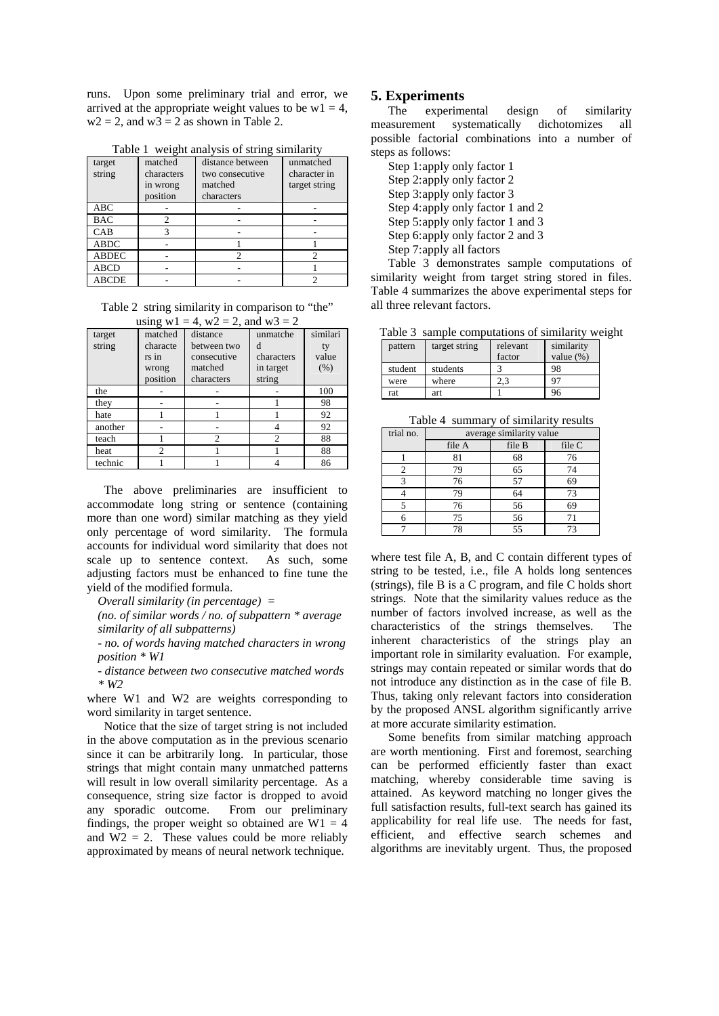runs. Upon some preliminary trial and error, we arrived at the appropriate weight values to be  $w1 = 4$ ,  $w2 = 2$ , and  $w3 = 2$  as shown in Table 2.

| target<br>string | matched<br>characters<br>in wrong<br>position | distance between<br>two consecutive<br>matched<br>characters | unmatched<br>character in<br>target string |
|------------------|-----------------------------------------------|--------------------------------------------------------------|--------------------------------------------|
|                  |                                               |                                                              |                                            |
| <b>ABC</b>       |                                               |                                                              |                                            |
| <b>BAC</b>       |                                               |                                                              |                                            |
| CAB              |                                               |                                                              |                                            |
| <b>ABDC</b>      |                                               |                                                              |                                            |
| <b>ABDEC</b>     |                                               |                                                              |                                            |
| <b>ABCD</b>      |                                               |                                                              |                                            |
| ABCDE            |                                               |                                                              |                                            |

Table 1 weight analysis of string similarity

Table 2 string similarity in comparison to "the"  $u_1 = 4$ , w2 = 2,

| using $w1 = 4$ , $w2 = 2$ , and $w3 = 2$ |                                                   |                                                                 |                                                    |                           |  |  |
|------------------------------------------|---------------------------------------------------|-----------------------------------------------------------------|----------------------------------------------------|---------------------------|--|--|
| target<br>string                         | matched<br>characte<br>rs in<br>wrong<br>position | distance<br>between two<br>consecutive<br>matched<br>characters | unmatche<br>d<br>characters<br>in target<br>string | similari<br>value<br>(% ) |  |  |
| the                                      |                                                   |                                                                 |                                                    | 100                       |  |  |
| they                                     |                                                   |                                                                 |                                                    | 98                        |  |  |
| hate                                     |                                                   |                                                                 |                                                    | 92                        |  |  |
| another                                  |                                                   |                                                                 |                                                    | 92                        |  |  |
| teach                                    |                                                   | $\mathfrak{D}$                                                  | $\mathfrak{D}$                                     | 88                        |  |  |
| heat                                     | $\mathfrak{D}$                                    |                                                                 |                                                    | 88                        |  |  |
| technic                                  |                                                   |                                                                 |                                                    | 86                        |  |  |

The above preliminaries are insufficient to accommodate long string or sentence (containing more than one word) similar matching as they yield only percentage of word similarity. The formula accounts for individual word similarity that does not scale up to sentence context. As such, some adjusting factors must be enhanced to fine tune the yield of the modified formula.

 *Overall similarity (in percentage) =* 

 *(no. of similar words / no. of subpattern \* average similarity of all subpatterns)* 

 *- no. of words having matched characters in wrong position \* W1* 

 *- distance between two consecutive matched words \* W2* 

where W1 and W2 are weights corresponding to word similarity in target sentence.

Notice that the size of target string is not included in the above computation as in the previous scenario since it can be arbitrarily long. In particular, those strings that might contain many unmatched patterns will result in low overall similarity percentage. As a consequence, string size factor is dropped to avoid any sporadic outcome. From our preliminary findings, the proper weight so obtained are  $W1 = 4$ and  $W2 = 2$ . These values could be more reliably approximated by means of neural network technique.

#### **5. Experiments**

The experimental design of similarity measurement systematically dichotomizes all possible factorial combinations into a number of steps as follows:

Step 1:apply only factor 1 Step 2: apply only factor 2 Step 3: apply only factor 3 Step 4: apply only factor 1 and 2 Step 5:apply only factor 1 and 3 Step 6: apply only factor 2 and 3 Step 7: apply all factors

Table 3 demonstrates sample computations of similarity weight from target string stored in files. Table 4 summarizes the above experimental steps for all three relevant factors.

Table 3 sample computations of similarity weight

| pattern | target string | relevant<br>factor | similarity<br>value $(\%)$ |
|---------|---------------|--------------------|----------------------------|
| student | students      |                    | 98                         |
| were    | where         |                    | 97                         |
| rat     | art           |                    | 96                         |

Table 4 summary of similarity results

| trial no. | average similarity value |        |        |
|-----------|--------------------------|--------|--------|
|           | file A                   | file B | file C |
|           | 81                       | 68     | 76     |
|           | 79                       | 65     | 74     |
|           | 76                       | 57     | 69     |
|           | 79                       | 64     | 73     |
|           | 76                       | 56     | 69     |
| 6         | 75                       | 56     | 71     |
|           |                          | 55     | 73     |

where test file A, B, and C contain different types of string to be tested, i.e., file A holds long sentences (strings), file B is a C program, and file C holds short strings. Note that the similarity values reduce as the number of factors involved increase, as well as the characteristics of the strings themselves. The inherent characteristics of the strings play an important role in similarity evaluation. For example, strings may contain repeated or similar words that do not introduce any distinction as in the case of file B. Thus, taking only relevant factors into consideration by the proposed ANSL algorithm significantly arrive at more accurate similarity estimation.

Some benefits from similar matching approach are worth mentioning. First and foremost, searching can be performed efficiently faster than exact matching, whereby considerable time saving is attained. As keyword matching no longer gives the full satisfaction results, full-text search has gained its applicability for real life use. The needs for fast, efficient, and effective search schemes and algorithms are inevitably urgent. Thus, the proposed